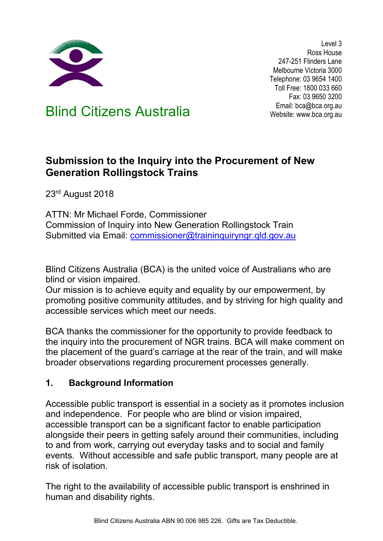

Level 3 Ross House 247-251 Flinders Lane Melbourne Victoria 3000 Telephone: 03 9654 1400 Toll Free: 1800 033 660 Fax: 03 9650 3200

Email: bca@bca.org.au Email: bca@bca.org.au Email: bca@bca.org.au

# **Submission to the Inquiry into the Procurement of New Generation Rollingstock Trains**

23<sup>rd</sup> August 2018

ATTN: Mr Michael Forde, Commissioner Commission of Inquiry into New Generation Rollingstock Train Submitted via Email: [commissioner@traininquiryngr.qld.gov.au](mailto:commissioner@traininquiryngr.qld.gov.au)

Blind Citizens Australia (BCA) is the united voice of Australians who are blind or vision impaired.

Our mission is to achieve equity and equality by our empowerment, by promoting positive community attitudes, and by striving for high quality and accessible services which meet our needs.

BCA thanks the commissioner for the opportunity to provide feedback to the inquiry into the procurement of NGR trains. BCA will make comment on the placement of the guard's carriage at the rear of the train, and will make broader observations regarding procurement processes generally.

#### **1. Background Information**

Accessible public transport is essential in a society as it promotes inclusion and independence. For people who are blind or vision impaired, accessible transport can be a significant factor to enable participation alongside their peers in getting safely around their communities, including to and from work, carrying out everyday tasks and to social and family events. Without accessible and safe public transport, many people are at risk of isolation.

The right to the availability of accessible public transport is enshrined in human and disability rights.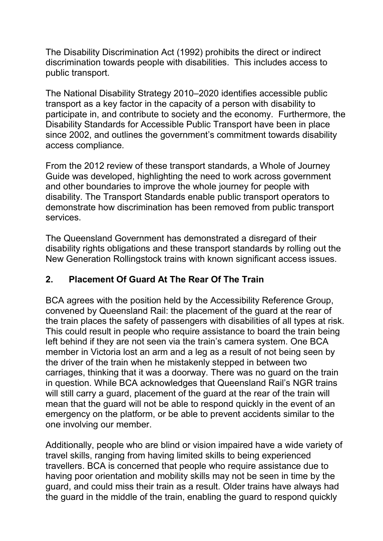The Disability Discrimination Act (1992) prohibits the direct or indirect discrimination towards people with disabilities. This includes access to public transport.

The National Disability Strategy 2010–2020 identifies accessible public transport as a key factor in the capacity of a person with disability to participate in, and contribute to society and the economy. Furthermore, the Disability Standards for Accessible Public Transport have been in place since 2002, and outlines the government's commitment towards disability access compliance.

From the 2012 review of these transport standards, a Whole of Journey Guide was developed, highlighting the need to work across government and other boundaries to improve the whole journey for people with disability. The Transport Standards enable public transport operators to demonstrate how discrimination has been removed from public transport services.

The Queensland Government has demonstrated a disregard of their disability rights obligations and these transport standards by rolling out the New Generation Rollingstock trains with known significant access issues.

## **2. Placement Of Guard At The Rear Of The Train**

BCA agrees with the position held by the Accessibility Reference Group, convened by Queensland Rail: the placement of the guard at the rear of the train places the safety of passengers with disabilities of all types at risk. This could result in people who require assistance to board the train being left behind if they are not seen via the train's camera system. One BCA member in Victoria lost an arm and a leg as a result of not being seen by the driver of the train when he mistakenly stepped in between two carriages, thinking that it was a doorway. There was no guard on the train in question. While BCA acknowledges that Queensland Rail's NGR trains will still carry a guard, placement of the guard at the rear of the train will mean that the guard will not be able to respond quickly in the event of an emergency on the platform, or be able to prevent accidents similar to the one involving our member.

Additionally, people who are blind or vision impaired have a wide variety of travel skills, ranging from having limited skills to being experienced travellers. BCA is concerned that people who require assistance due to having poor orientation and mobility skills may not be seen in time by the guard, and could miss their train as a result. Older trains have always had the guard in the middle of the train, enabling the guard to respond quickly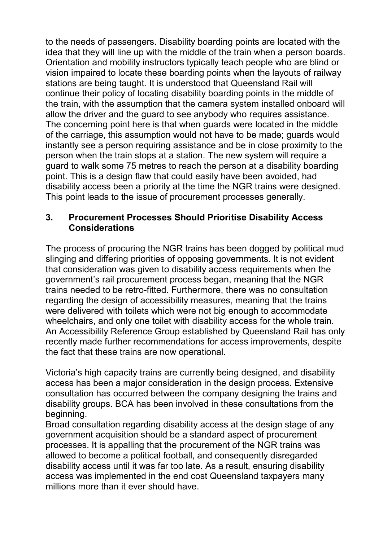to the needs of passengers. Disability boarding points are located with the idea that they will line up with the middle of the train when a person boards. Orientation and mobility instructors typically teach people who are blind or vision impaired to locate these boarding points when the layouts of railway stations are being taught. It is understood that Queensland Rail will continue their policy of locating disability boarding points in the middle of the train, with the assumption that the camera system installed onboard will allow the driver and the guard to see anybody who requires assistance. The concerning point here is that when guards were located in the middle of the carriage, this assumption would not have to be made; guards would instantly see a person requiring assistance and be in close proximity to the person when the train stops at a station. The new system will require a guard to walk some 75 metres to reach the person at a disability boarding point. This is a design flaw that could easily have been avoided, had disability access been a priority at the time the NGR trains were designed. This point leads to the issue of procurement processes generally.

#### **3. Procurement Processes Should Prioritise Disability Access Considerations**

The process of procuring the NGR trains has been dogged by political mud slinging and differing priorities of opposing governments. It is not evident that consideration was given to disability access requirements when the government's rail procurement process began, meaning that the NGR trains needed to be retro-fitted. Furthermore, there was no consultation regarding the design of accessibility measures, meaning that the trains were delivered with toilets which were not big enough to accommodate wheelchairs, and only one toilet with disability access for the whole train. An Accessibility Reference Group established by Queensland Rail has only recently made further recommendations for access improvements, despite the fact that these trains are now operational.

Victoria's high capacity trains are currently being designed, and disability access has been a major consideration in the design process. Extensive consultation has occurred between the company designing the trains and disability groups. BCA has been involved in these consultations from the beginning.

Broad consultation regarding disability access at the design stage of any government acquisition should be a standard aspect of procurement processes. It is appalling that the procurement of the NGR trains was allowed to become a political football, and consequently disregarded disability access until it was far too late. As a result, ensuring disability access was implemented in the end cost Queensland taxpayers many millions more than it ever should have.